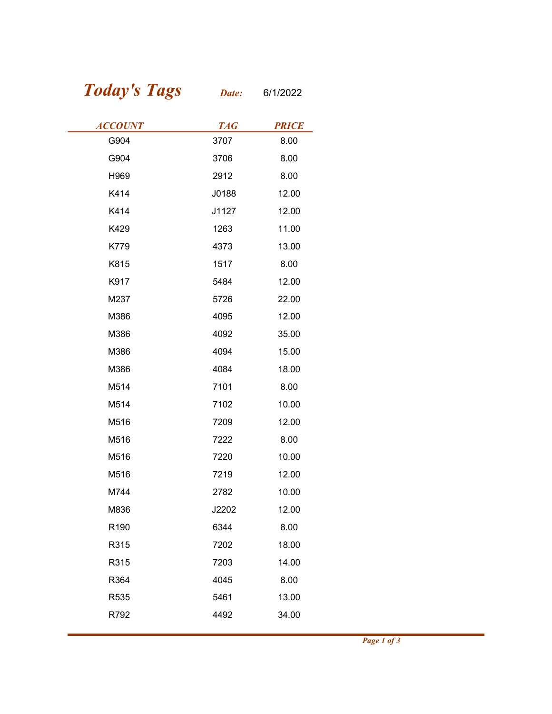## Today's Tags Date: 6/1/2022

| <b>Today's Tags</b> | Date:      | 6/1/2022     |
|---------------------|------------|--------------|
| <b>ACCOUNT</b>      | <b>TAG</b> | <b>PRICE</b> |
| G904                | 3707       | 8.00         |
| G904                | 3706       | 8.00         |
| H969                | 2912       | 8.00         |
| K414                | J0188      | 12.00        |
| K414                | J1127      | 12.00        |
| K429                | 1263       | 11.00        |
| K779                | 4373       | 13.00        |
| K815                | 1517       | 8.00         |
| K917                | 5484       | 12.00        |
| M237                | 5726       | 22.00        |
| M386                | 4095       | 12.00        |
| M386                | 4092       | 35.00        |
| M386                | 4094       | 15.00        |
| M386                | 4084       | 18.00        |
| M514                | 7101       | 8.00         |
| M514                | 7102       | 10.00        |
| M516                | 7209       | 12.00        |
| M516                | 7222       | 8.00         |
| M516                | 7220       | 10.00        |
| M516                | 7219       | 12.00        |
| M744                | 2782       | 10.00        |
| M836                | J2202      | 12.00        |
| R190                | 6344       | 8.00         |
| R315                | 7202       | 18.00        |
| R315                | 7203       | 14.00        |
| R364                | 4045       | 8.00         |
| R535                | 5461       | 13.00        |
|                     | 4492       | 34.00        |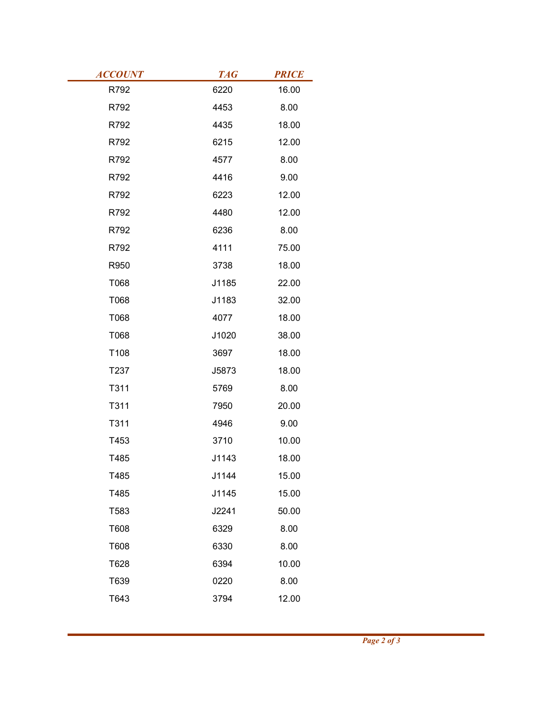| <b>ACCOUNT</b><br>R792 | <b>TAG</b><br>6220 | <b>PRICE</b><br>16.00 |
|------------------------|--------------------|-----------------------|
| R792                   | 4453               | 8.00                  |
| R792                   | 4435               | 18.00                 |
| R792                   | 6215               | 12.00                 |
| R792                   | 4577               | 8.00                  |
| R792                   | 4416               | 9.00                  |
| R792                   | 6223               | 12.00                 |
| R792                   | 4480               | 12.00                 |
| R792                   | 6236               | 8.00                  |
| R792                   | 4111               | 75.00                 |
| R950                   | 3738               | 18.00                 |
| T068                   | J1185              | 22.00                 |
| T068                   | J1183              | 32.00                 |
| T068                   | 4077               | 18.00                 |
| T068                   | J1020              | 38.00                 |
| T108                   | 3697               | 18.00                 |
| T237                   | J5873              | 18.00                 |
| T311                   | 5769               | 8.00                  |
| T311                   | 7950               | 20.00                 |
| T311                   | 4946               | 9.00                  |
| T453                   | 3710               | 10.00                 |
| T485                   | J1143              | 18.00                 |
| T485                   | J1144              | 15.00                 |
| T485                   | J1145              | 15.00                 |
| T583                   | J2241              | 50.00                 |
| T608                   | 6329               | 8.00                  |
| T608                   | 6330               | 8.00                  |
| T628                   | 6394               | 10.00                 |
| T639                   | 0220               | 8.00                  |
| T643                   | 3794               | 12.00                 |